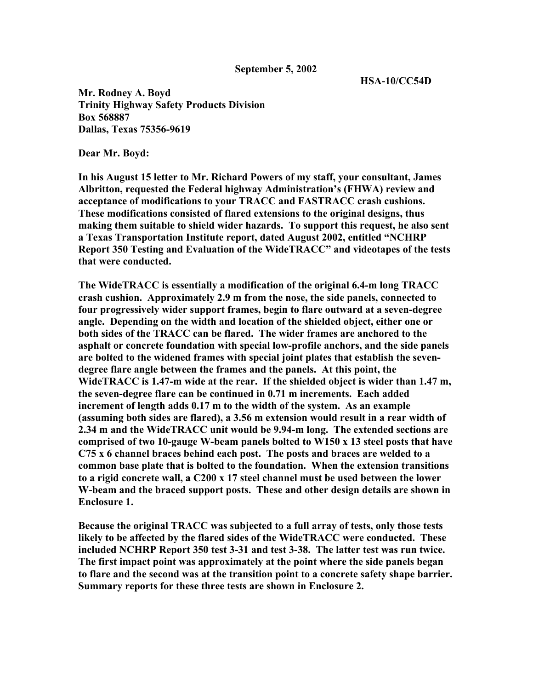## **September 5, 2002**

 **HSA-10/CC54D** 

**Mr. Rodney A. Boyd Trinity Highway Safety Products Division Box 568887 Dallas, Texas 75356-9619** 

**Dear Mr. Boyd:** 

**In his August 15 letter to Mr. Richard Powers of my staff, your consultant, James Albritton, requested the Federal highway Administration's (FHWA) review and acceptance of modifications to your TRACC and FASTRACC crash cushions. These modifications consisted of flared extensions to the original designs, thus making them suitable to shield wider hazards. To support this request, he also sent a Texas Transportation Institute report, dated August 2002, entitled "NCHRP Report 350 Testing and Evaluation of the WideTRACC" and videotapes of the tests that were conducted.** 

**The WideTRACC is essentially a modification of the original 6.4-m long TRACC crash cushion. Approximately 2.9 m from the nose, the side panels, connected to four progressively wider support frames, begin to flare outward at a seven-degree angle. Depending on the width and location of the shielded object, either one or both sides of the TRACC can be flared. The wider frames are anchored to the asphalt or concrete foundation with special low-profile anchors, and the side panels are bolted to the widened frames with special joint plates that establish the sevendegree flare angle between the frames and the panels. At this point, the WideTRACC is 1.47-m wide at the rear. If the shielded object is wider than 1.47 m, the seven-degree flare can be continued in 0.71 m increments. Each added increment of length adds 0.17 m to the width of the system. As an example (assuming both sides are flared), a 3.56 m extension would result in a rear width of 2.34 m and the WideTRACC unit would be 9.94-m long. The extended sections are comprised of two 10-gauge W-beam panels bolted to W150 x 13 steel posts that have C75 x 6 channel braces behind each post. The posts and braces are welded to a common base plate that is bolted to the foundation. When the extension transitions to a rigid concrete wall, a C200 x 17 steel channel must be used between the lower W-beam and the braced support posts. These and other design details are shown in Enclosure 1.** 

**Because the original TRACC was subjected to a full array of tests, only those tests likely to be affected by the flared sides of the WideTRACC were conducted. These included NCHRP Report 350 test 3-31 and test 3-38. The latter test was run twice. The first impact point was approximately at the point where the side panels began to flare and the second was at the transition point to a concrete safety shape barrier. Summary reports for these three tests are shown in Enclosure 2.**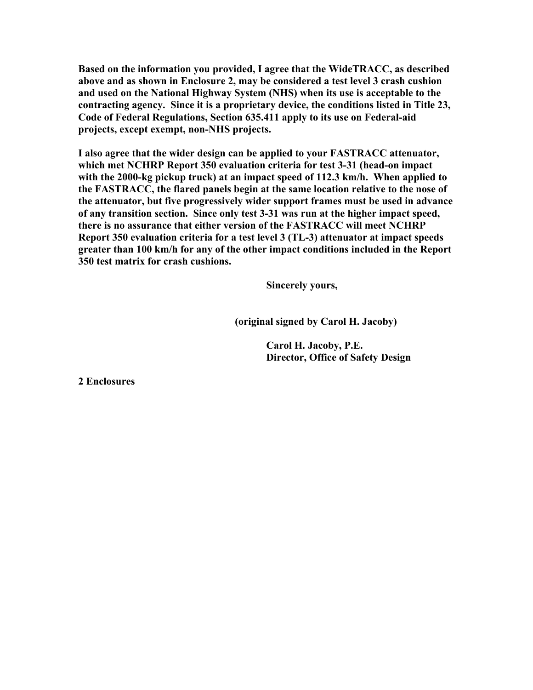**Based on the information you provided, I agree that the WideTRACC, as described above and as shown in Enclosure 2, may be considered a test level 3 crash cushion and used on the National Highway System (NHS) when its use is acceptable to the contracting agency. Since it is a proprietary device, the conditions listed in Title 23, Code of Federal Regulations, Section 635.411 apply to its use on Federal-aid projects, except exempt, non-NHS projects.** 

**I also agree that the wider design can be applied to your FASTRACC attenuator, which met NCHRP Report 350 evaluation criteria for test 3-31 (head-on impact with the 2000-kg pickup truck) at an impact speed of 112.3 km/h. When applied to the FASTRACC, the flared panels begin at the same location relative to the nose of the attenuator, but five progressively wider support frames must be used in advance of any transition section. Since only test 3-31 was run at the higher impact speed, there is no assurance that either version of the FASTRACC will meet NCHRP Report 350 evaluation criteria for a test level 3 (TL-3) attenuator at impact speeds greater than 100 km/h for any of the other impact conditions included in the Report 350 test matrix for crash cushions.** 

 **Sincerely yours,** 

 **(original signed by Carol H. Jacoby)** 

 **Carol H. Jacoby, P.E. Director, Office of Safety Design** 

**2 Enclosures**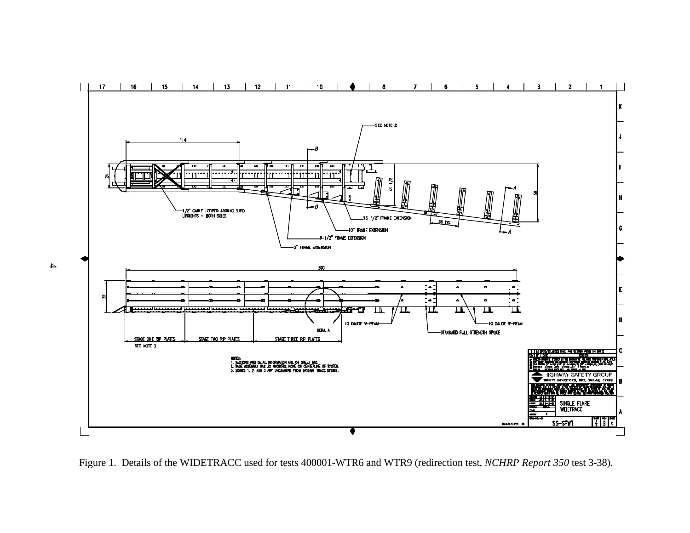

Figure 1. Details of the WIDETRACC used for tests 400001-WTR6 and WTR9 (redirection test, *NCHRP Report 350* test 3-38).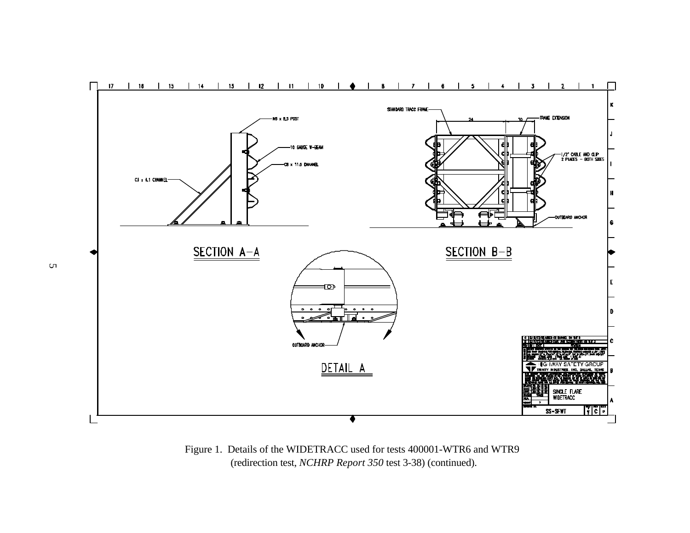

Figure 1. Details of the WIDETRACC used for tests 400001-WTR6 and WTR9 (redirection test, *NCHRP Report 350* test 3-38) (continued).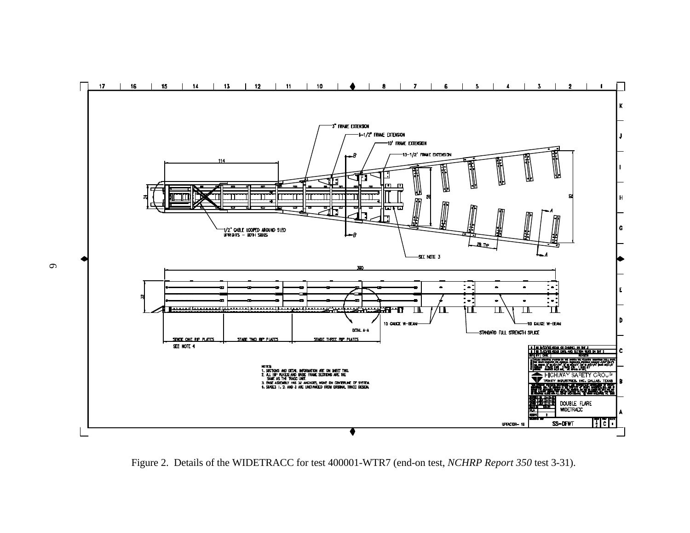

Figure 2. Details of the WIDETRACC for test 400001-WTR7 (end-on test, *NCHRP Report 350* test 3-31).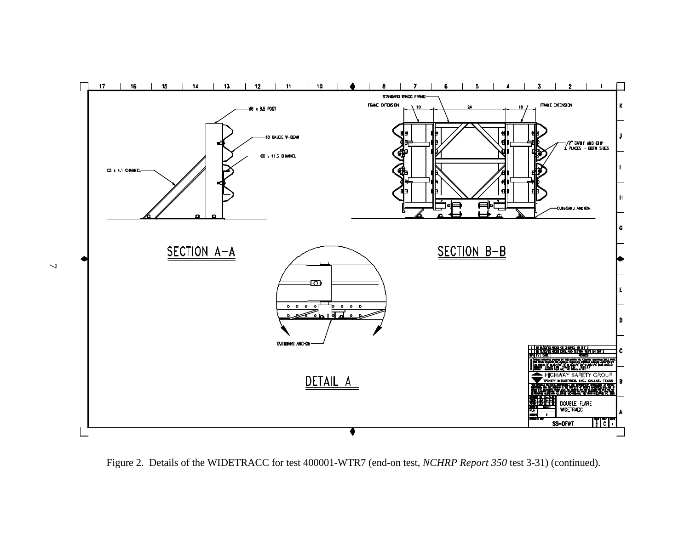

Figure 2. Details of the WIDETRACC for test 400001-WTR7 (end-on test, *NCHRP Report 350* test 3-31) (continued).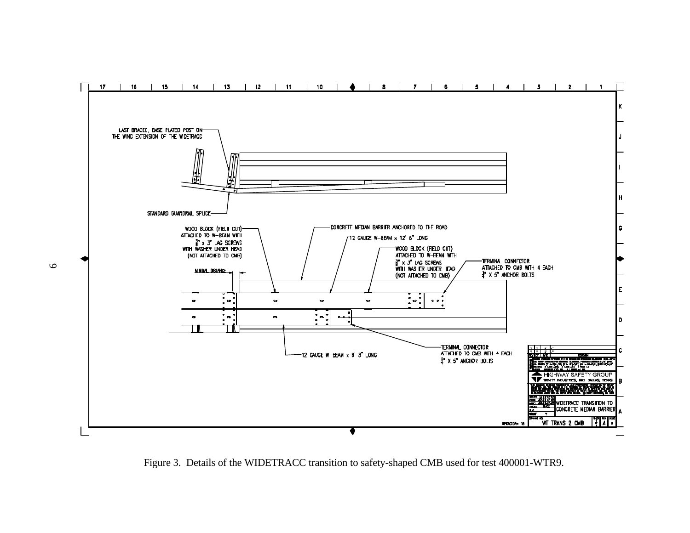

Figure 3. Details of the WIDETRACC transition to safety-shaped CMB used for test 400001-WTR9.

 $\circ$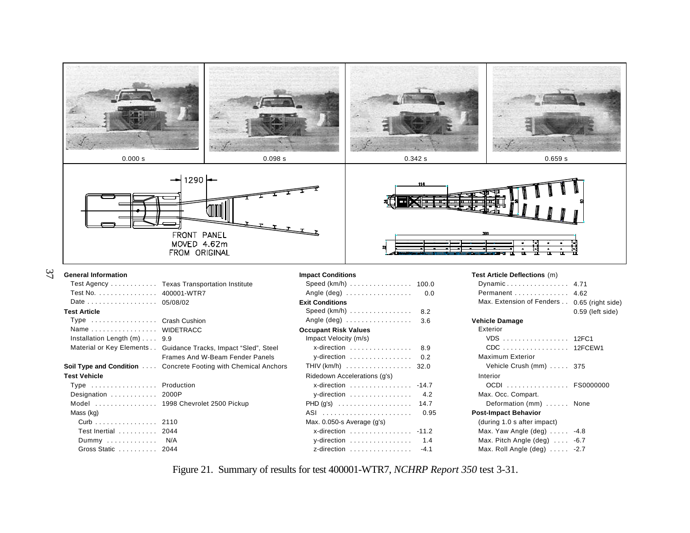

| Date 05/08/02                            |                                                                       | Exit Co     |
|------------------------------------------|-----------------------------------------------------------------------|-------------|
| <b>Test Article</b>                      |                                                                       | <b>Spee</b> |
| Type Crash Cushion                       |                                                                       | Angle       |
| Name WIDETRACC                           |                                                                       | Occupa      |
| Installation Length $(m)$ 9.9            |                                                                       | Impa        |
|                                          | Material or Key Elements Guidance Tracks, Impact "Sled", Steel        | x-c         |
|                                          | Frames And W-Beam Fender Panels                                       | $V - C$     |
|                                          | <b>Soil Type and Condition</b> Concrete Footing with Chemical Anchors | THIV        |
| <b>Test Vehicle</b>                      |                                                                       | Ridec       |
| Type Production                          |                                                                       | x-c         |
| Designation $\ldots \ldots \ldots$ 2000P |                                                                       | $V - C$     |
|                                          | Model  1998 Chevrolet 2500 Pickup                                     | PHD (       |
| Mass (kg)                                |                                                                       | ASI         |
| Curb 2110                                |                                                                       | Max.        |
| Test Inertial  2044                      |                                                                       | x-c         |
| Dummy $N/A$                              |                                                                       | $V - C$     |
| Gross Static  2044                       |                                                                       | z-c         |

37

| Speed (km/h) 100.0           |        |
|------------------------------|--------|
|                              | 0.0    |
| <b>Exit Conditions</b>       |        |
| Speed $(km/h)$               | 8.2    |
| Angle $(\text{deg})$         | 3.6    |
| <b>Occupant Risk Values</b>  |        |
| Impact Velocity (m/s)        |        |
| x-direction                  | 8.9    |
| y-direction                  | 0.2    |
| THIV (km/h) 32.0             |        |
| Ridedown Accelerations (q's) |        |
| x-direction  -14.7           |        |
| y-direction                  | 4.2    |
| $PHD(g's)$                   | 14.7   |
|                              | 0.95   |
| Max. 0.050-s Average (g's)   |        |
| x-direction  -11.2           |        |
| y-direction                  | 1.4    |
| z-direction                  | $-4.1$ |

| Dynamic                                     | 4.71             |
|---------------------------------------------|------------------|
| Permanent  4.62                             |                  |
| Max. Extension of Fenders 0.65 (right side) |                  |
|                                             | 0.59 (left side) |
| Vehicle Damage                              |                  |
| Exterior                                    |                  |
| VDS 12FC1                                   |                  |
| CDC 12FCEW1                                 |                  |
| <b>Maximum Exterior</b>                     |                  |
| Vehicle Crush $(mm)$ 375                    |                  |
| Interior                                    |                  |
| OCDI  FS0000000                             |                  |
| Max. Occ. Compart.                          |                  |
| Deformation (mm)  None                      |                  |
| Post-Impact Behavior                        |                  |
| (during 1.0 s after impact)                 |                  |
| Max. Yaw Angle (deg) $\dots$ . -4.8         |                  |
| Max. Pitch Angle $(\text{deg})$ -6.7        |                  |
| Max. Roll Angle $deg)$ -2.7                 |                  |
|                                             |                  |
|                                             |                  |

Figure 21. Summary of results for test 400001-WTR7, *NCHRP Report 350* test 3-31.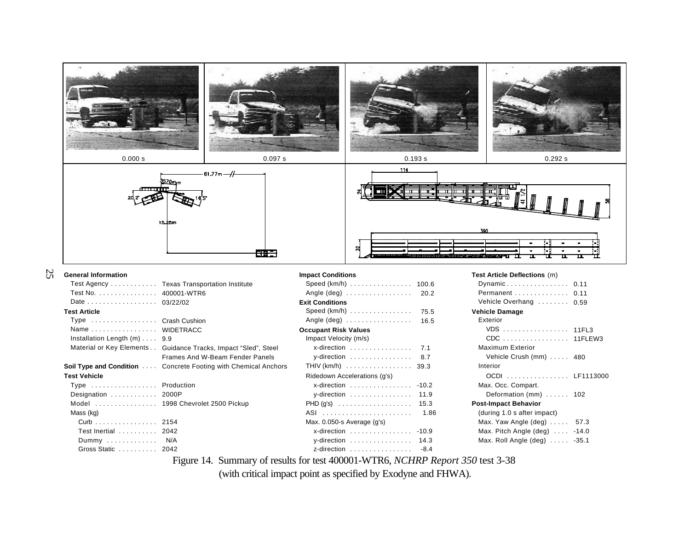

**Soil Type and Condition** .... Concrete Footing with Chemical Anchors

## **Test Vehicle**

25

| Type $\ldots \ldots \ldots \ldots \ldots$ Production<br>Designation  2000P |                                   |
|----------------------------------------------------------------------------|-----------------------------------|
|                                                                            |                                   |
|                                                                            | Model  1998 Chevrolet 2500 Pickup |
| Mass (kg)                                                                  |                                   |
| Curb 2154                                                                  |                                   |
| Test Inertial 2042                                                         |                                   |
| Dummy $N/A$                                                                |                                   |
| Gross Static 2042                                                          |                                   |

Material or Key Elements . . Guidance Tracks, Impact "Sled", Steel

Frames And W-Beam Fender Panels

| Speed (Km/h) 100.6                             |         |
|------------------------------------------------|---------|
| Angle (deg)  20.2                              |         |
| xit Conditions                                 |         |
| Speed (km/h) 75.5                              |         |
| Angle (deg)  16.5                              |         |
| <b>ccupant Risk Values</b>                     |         |
| Impact Velocity (m/s)                          |         |
| x-direction $\ldots \ldots \ldots \ldots$ 7.1  |         |
| y-direction                                    | 8.7     |
| THIV $(km/h)$ 39.3                             |         |
| Ridedown Accelerations (g's)                   |         |
| x-direction                                    | $-10.2$ |
| $y$ -direction                                 | 11.9    |
|                                                | 15.3    |
|                                                | 1.86    |
| Max. 0.050-s Average (g's)                     |         |
| x-direction  -10.9                             |         |
| y-direction $\ldots \ldots \ldots \ldots$ 14.3 |         |
| z-direction                                    | $-8.4$  |

| Dynamic 0.11                    |         |
|---------------------------------|---------|
| Permanent 0.11                  |         |
| Vehicle Overhang  0.59          |         |
| <b>Vehicle Damage</b>           |         |
| Exterior                        |         |
| VDS 11FL3                       |         |
| CDC 11FLEW3                     |         |
| <b>Maximum Exterior</b>         |         |
| Vehicle Crush (mm)  480         |         |
| Interior                        |         |
| OCDI  LF1113000                 |         |
| Max. Occ. Compart.              |         |
| Deformation (mm) $\ldots$ . 102 |         |
| <b>Post-Impact Behavior</b>     |         |
| (during 1.0 s after impact)     |         |
| Max. Yaw Angle $(\text{deg})$   | 57.3    |
| Max. Pitch Angle $deg)$ -14.0   |         |
| Max. Roll Angle (deg)           | $-35.1$ |
|                                 |         |

Figure 14. Summary of results for test 400001-WTR6, *NCHRP Report 350* test 3-38

(with critical impact point as specified by Exodyne and FHWA).